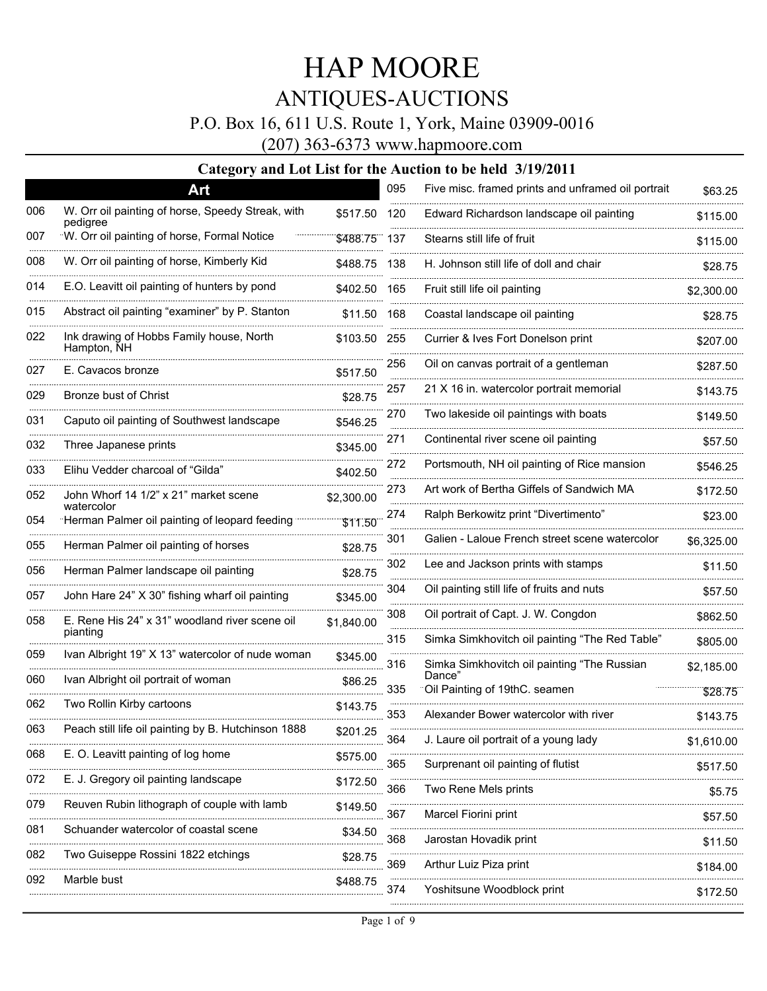### P.O. Box 16, 611 U.S. Route 1, York, Maine 03909-0016

(207) 363-6373 www.hapmoore.com

|     | Art                                                           |            | 095 | Five misc. framed prints and unframed oil portrait | \$63.25    |
|-----|---------------------------------------------------------------|------------|-----|----------------------------------------------------|------------|
| 006 | W. Orr oil painting of horse, Speedy Streak, with<br>pediaree | \$517.50   | 120 | Edward Richardson landscape oil painting           | \$115.00   |
| 007 | W. Orr oil painting of horse, Formal Notice                   | \$488.75   | 137 | Stearns still life of fruit                        | \$115.00   |
| 008 | W. Orr oil painting of horse, Kimberly Kid                    | \$488.75   | 138 | H. Johnson still life of doll and chair            | \$28.75    |
| 014 | E.O. Leavitt oil painting of hunters by pond                  | \$402.50   | 165 | Fruit still life oil painting                      | \$2,300.00 |
| 015 | Abstract oil painting "examiner" by P. Stanton                | \$11.50    | 168 | Coastal landscape oil painting                     | \$28.75    |
| 022 | Ink drawing of Hobbs Family house, North<br>Hampton, NH       | \$103.50   | 255 | Currier & Ives Fort Donelson print                 | \$207.00   |
| 027 | E. Cavacos bronze                                             | \$517.50   | 256 | Oil on canvas portrait of a gentleman              | \$287.50   |
| 029 | Bronze bust of Christ                                         | \$28.75    | 257 | 21 X 16 in. watercolor portrait memorial           | \$143.75   |
| 031 | Caputo oil painting of Southwest landscape                    | \$546.25   | 270 | Two lakeside oil paintings with boats              | \$149.50   |
| 032 | Three Japanese prints                                         | \$345.00   | 271 | Continental river scene oil painting               | \$57.50    |
| 033 | Elihu Vedder charcoal of "Gilda"                              | \$402.50   | 272 | Portsmouth, NH oil painting of Rice mansion        | \$546.25   |
| 052 | John Whorf 14 1/2" x 21" market scene                         | \$2,300.00 | 273 | Art work of Bertha Giffels of Sandwich MA          | \$172.50   |
| 054 | watercolor<br>Herman Palmer oil painting of leopard feeding   | \$11.50    | 274 | Ralph Berkowitz print "Divertimento"               | \$23.00    |
| 055 | Herman Palmer oil painting of horses                          | \$28.75    | 301 | Galien - Laloue French street scene watercolor     | \$6.325.00 |
| 056 | Herman Palmer landscape oil painting                          | \$28.75    | 302 | Lee and Jackson prints with stamps                 | \$11.50    |
| 057 | John Hare 24" X 30" fishing wharf oil painting                | \$345.00   | 304 | Oil painting still life of fruits and nuts         | \$57.50    |
| 058 | E. Rene His 24" x 31" woodland river scene oil                | \$1,840.00 | 308 | Oil portrait of Capt. J. W. Congdon                | \$862.50   |
|     | pianting                                                      |            | 315 | Simka Simkhovitch oil painting "The Red Table"     | \$805.00   |
| 059 | Ivan Albright 19" X 13" watercolor of nude woman              | \$345.00   | 316 | Simka Simkhovitch oil painting "The Russian        | \$2,185.00 |
| 060 | Ivan Albright oil portrait of woman                           | \$86.25    | 335 | Dance"<br>Oil Painting of 19thC. seamen            | \$28.75    |
| 062 | Two Rollin Kirby cartoons                                     | \$143.75   | 353 | Alexander Bower watercolor with river              | \$143.75   |
| 063 | Peach still life oil painting by B. Hutchinson 1888           | \$201.25   | 364 | J. Laure oil portrait of a young lady              | \$1,610.00 |
| 068 | E. O. Leavitt painting of log home                            | \$575.00   | 365 | Surprenant oil painting of flutist                 | \$517.50   |
| 072 | E. J. Gregory oil painting landscape                          | \$172.50   | 366 | Two Rene Mels prints                               | \$5.75     |
| 079 | Reuven Rubin lithograph of couple with lamb                   | \$149.50   | 367 | Marcel Fiorini print                               | \$57.50    |
| 081 | Schuander watercolor of coastal scene                         | \$34.50    | 368 | Jarostan Hovadik print                             | \$11.50    |
| 082 | Two Guiseppe Rossini 1822 etchings                            | \$28.75    | 369 | Arthur Luiz Piza print                             | \$184.00   |
| 092 | Marble bust                                                   | \$488.75   | 374 | Yoshitsune Woodblock print                         | \$172.50   |
|     |                                                               |            |     |                                                    |            |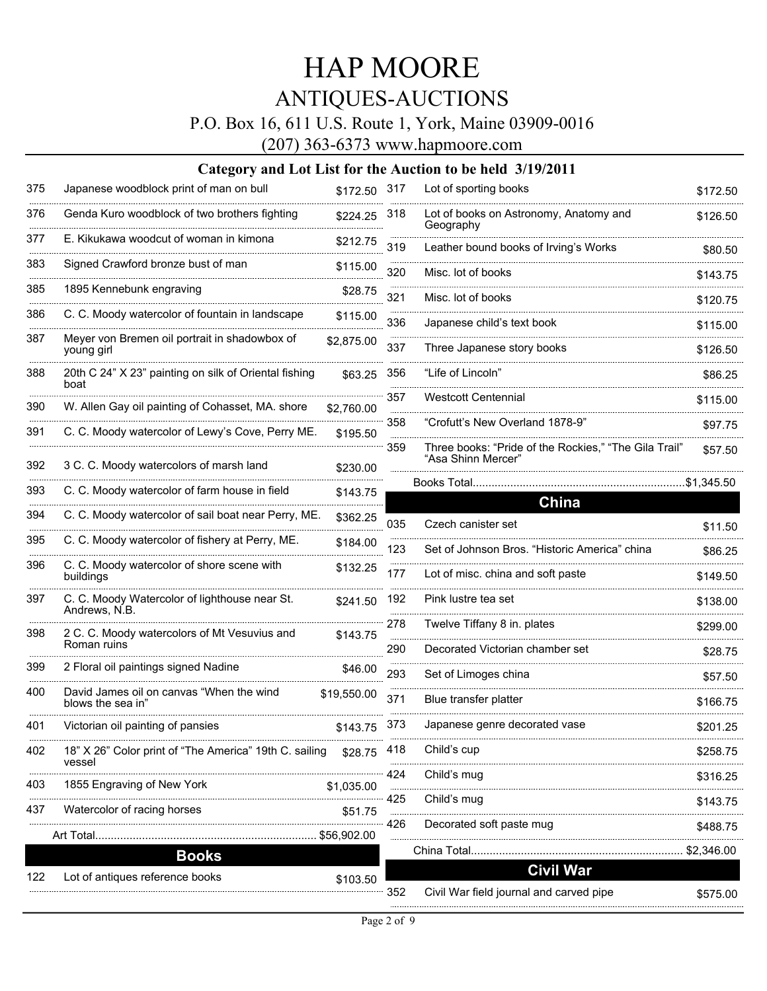### P.O. Box 16, 611 U.S. Route 1, York, Maine 03909-0016

(207) 363-6373 www.hapmoore.com

| 375 | Japanese woodblock print of man on bull                          | \$172.50 317 |     | Lot of sporting books                                                       | \$172.50   |
|-----|------------------------------------------------------------------|--------------|-----|-----------------------------------------------------------------------------|------------|
| 376 | Genda Kuro woodblock of two brothers fighting                    | \$224.25     | 318 | Lot of books on Astronomy, Anatomy and<br>Geography                         | \$126.50   |
| 377 | E. Kikukawa woodcut of woman in kimona                           | \$212.75     | 319 | Leather bound books of Irving's Works                                       | \$80.50    |
| 383 | Signed Crawford bronze bust of man                               | \$115.00     | 320 | Misc. lot of books                                                          | \$143.75   |
| 385 | 1895 Kennebunk engraving                                         | \$28.75      | 321 | Misc. lot of books                                                          | \$120.75   |
| 386 | C. C. Moody watercolor of fountain in landscape                  | \$115.00     | 336 | Japanese child's text book                                                  | \$115.00   |
| 387 | Meyer von Bremen oil portrait in shadowbox of<br>young girl      | \$2,875.00   | 337 | Three Japanese story books                                                  | \$126.50   |
| 388 | 20th C 24" X 23" painting on silk of Oriental fishing<br>boat    | \$63.25      | 356 | "Life of Lincoln"                                                           | \$86.25    |
| 390 | W. Allen Gay oil painting of Cohasset, MA. shore                 | \$2,760.00   | 357 | <b>Westcott Centennial</b>                                                  | \$115.00   |
| 391 | C. C. Moody watercolor of Lewy's Cove, Perry ME.                 | \$195.50     | 358 | "Crofutt's New Overland 1878-9"                                             | \$97.75    |
| 392 | 3 C. C. Moody watercolors of marsh land                          | \$230.00     | 359 | Three books: "Pride of the Rockies," "The Gila Trail"<br>"Asa Shinn Mercer" | \$57.50    |
| 393 | C. C. Moody watercolor of farm house in field                    | \$143.75     |     | Books Total                                                                 | \$1.345.50 |
| 394 | C. C. Moody watercolor of sail boat near Perry, ME.              |              |     | China                                                                       |            |
|     |                                                                  | \$362.25     | 035 | Czech canister set                                                          | \$11.50    |
| 395 | C. C. Moody watercolor of fishery at Perry, ME.                  | \$184.00     | 123 | Set of Johnson Bros. "Historic America" china                               | \$86.25    |
| 396 | C. C. Moody watercolor of shore scene with<br>buildings          | \$132.25     | 177 | Lot of misc. china and soft paste                                           | \$149.50   |
| 397 | C. C. Moody Watercolor of lighthouse near St.<br>Andrews, N.B.   | \$241.50     | 192 | Pink lustre tea set                                                         | \$138.00   |
| 398 | 2 C. C. Moody watercolors of Mt Vesuvius and                     | \$143.75     | 278 | Twelve Tiffany 8 in. plates                                                 | \$299.00   |
|     | Roman ruins                                                      |              | 290 | Decorated Victorian chamber set                                             | \$28.75    |
| 399 | 2 Floral oil paintings signed Nadine                             | \$46.00      | 293 | Set of Limoges china                                                        | \$57.50    |
| 400 | David James oil on canvas "When the wind<br>blows the sea in"    | \$19,550.00  | 371 | Blue transfer platter                                                       | \$166.75   |
| 401 | Victorian oil painting of pansies                                | \$143.75     | 373 | Japanese genre decorated vase                                               | \$201.25   |
| 402 | 18" X 26" Color print of "The America" 19th C. sailing<br>vessel | \$28.75      | 418 | Child's cup                                                                 | \$258.75   |
| 403 | 1855 Engraving of New York                                       | \$1,035.00   | 424 | Child's mug                                                                 | \$316.25   |
| 437 | Watercolor of racing horses                                      | \$51.75      | 425 | Child's mug                                                                 | \$143.75   |
|     | Art Total                                                        |              | 426 | Decorated soft paste mug                                                    | \$488.75   |
|     | <b>Books</b>                                                     |              |     |                                                                             | \$2,346.00 |
| 122 | Lot of antiques reference books                                  | \$103.50     |     | <b>Civil War</b>                                                            |            |
|     |                                                                  |              | 352 | Civil War field journal and carved pipe                                     | \$575.00   |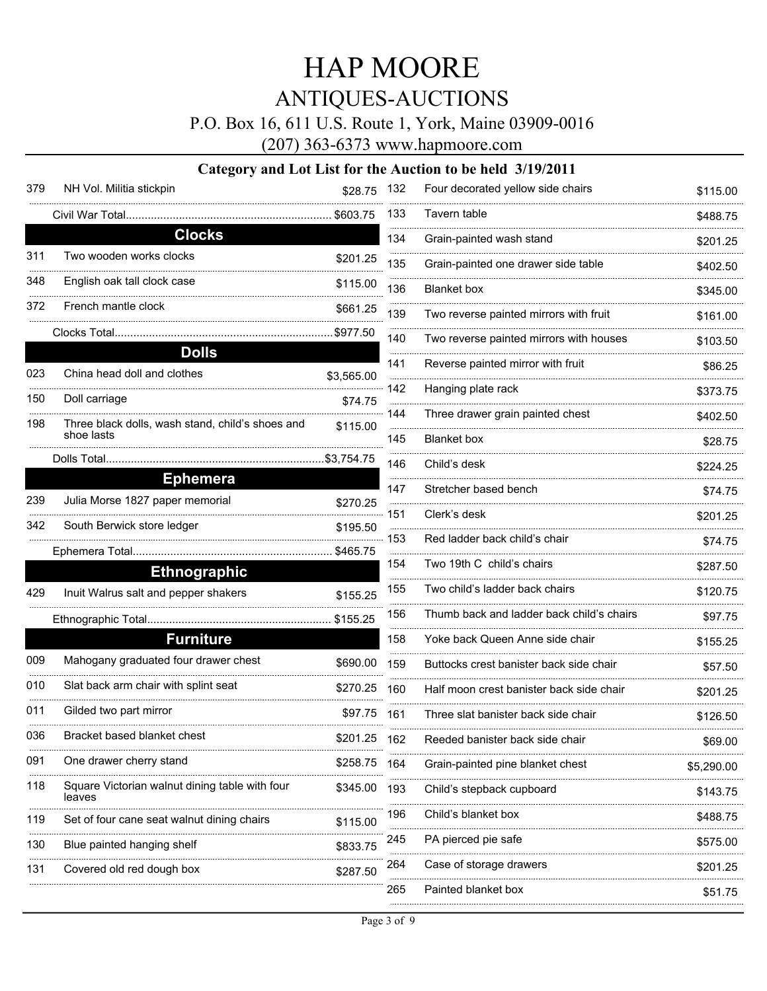### P.O. Box 16, 611 U.S. Route 1, York, Maine 03909-0016

(207) 363-6373 www.hapmoore.com

#### **Category and Lot List for the Auction to be held 3/19/2011**

| 379 | NH Vol. Militia stickpin                                       | \$28.75    | 1 |
|-----|----------------------------------------------------------------|------------|---|
|     | Civil War Total                                                | \$603.75   | 1 |
|     | <b>Clocks</b>                                                  |            | 1 |
| 311 | Two wooden works clocks                                        | \$201.25   | 1 |
| 348 | English oak tall clock case                                    | \$115.00   | 1 |
| 372 | French mantle clock                                            | \$661.25   | 1 |
|     | Clocks Total                                                   | \$977.50   |   |
|     | <b>Dolls</b>                                                   |            | 1 |
| 023 | China head doll and clothes                                    | \$3,565.00 |   |
| 150 | Doll carriage                                                  | \$74.75    | 1 |
| 198 | Three black dolls, wash stand, child's shoes and<br>shoe lasts | \$115.00   | 1 |
|     | Dolls Total.                                                   | \$3,754.75 | 1 |
|     | <b>Ephemera</b>                                                |            | 1 |
| 239 | Julia Morse 1827 paper memorial                                | \$270.25   | 1 |
| 342 | South Berwick store ledger                                     | \$195.50   |   |
|     | Ephemera Total                                                 | \$465.75   |   |
|     | <b>Ethnographic</b>                                            |            | 1 |
| 429 | Inuit Walrus salt and pepper shakers                           | \$155.25   | 1 |
|     | Ethnographic Total                                             | \$155.25   | 1 |
|     | <b>Furniture</b>                                               |            | 1 |
| 009 | Mahogany graduated four drawer chest                           | \$690.00   | 1 |
| 010 | Slat back arm chair with splint seat                           | \$270.25   | 1 |
| 011 | Gilded two part mirror                                         | \$97.75    | 1 |
| 036 | Bracket based blanket chest                                    | \$201.25   |   |
| 091 | One drawer cherry stand                                        | \$258.75   | 1 |
| 118 | Square Victorian walnut dining table with four<br>leaves       | \$345.00   | 1 |
| 119 | Set of four cane seat walnut dining chairs                     | \$115.00   |   |
| 130 | Blue painted hanging shelf                                     | \$833.75   | 2 |
| 131 | Covered old red dough box                                      | \$287.50   | 2 |
|     |                                                                |            | 2 |

| 132 | Four decorated yellow side chairs         | \$115.00   |
|-----|-------------------------------------------|------------|
| 133 | Tavern table                              | \$488.75   |
| 134 | Grain-painted wash stand                  | \$201.25   |
| 135 | Grain-painted one drawer side table       | \$402.50   |
| 136 | <b>Blanket</b> box                        | \$345.00   |
| 139 | Two reverse painted mirrors with fruit    | \$161.00   |
| 140 | Two reverse painted mirrors with houses   | \$103.50   |
| 141 | Reverse painted mirror with fruit         | \$86.25    |
| 142 | Hanging plate rack                        | \$373.75   |
| 144 | Three drawer grain painted chest          | \$402.50   |
| 145 | <b>Blanket</b> box                        | \$28.75    |
| 146 | Child's desk                              | \$224.25   |
| 147 | Stretcher based bench                     | \$74.75    |
| 151 | Clerk's desk                              | \$201.25   |
| 153 | Red ladder back child's chair             | \$74.75    |
| 154 | Two 19th C child's chairs                 | \$287.50   |
| 155 | Two child's ladder back chairs            | \$120.75   |
| 156 | Thumb back and ladder back child's chairs | \$97.75    |
| 158 | Yoke back Queen Anne side chair           | \$155.25   |
| 159 | Buttocks crest banister back side chair   | \$57.50    |
| 160 | Half moon crest banister back side chair  | \$201.25   |
| 161 | Three slat banister back side chair       | \$126.50   |
| 162 | Reeded banister back side chair           | \$69.00    |
| 164 | Grain-painted pine blanket chest          | \$5,290.00 |
| 193 | Child's stepback cupboard                 | \$143.75   |
| 196 | Child's blanket box                       | \$488.75   |
| 245 | PA pierced pie safe                       | \$575.00   |
| 264 | Case of storage drawers                   | \$201.25   |
| 265 | Painted blanket box                       | \$51.75    |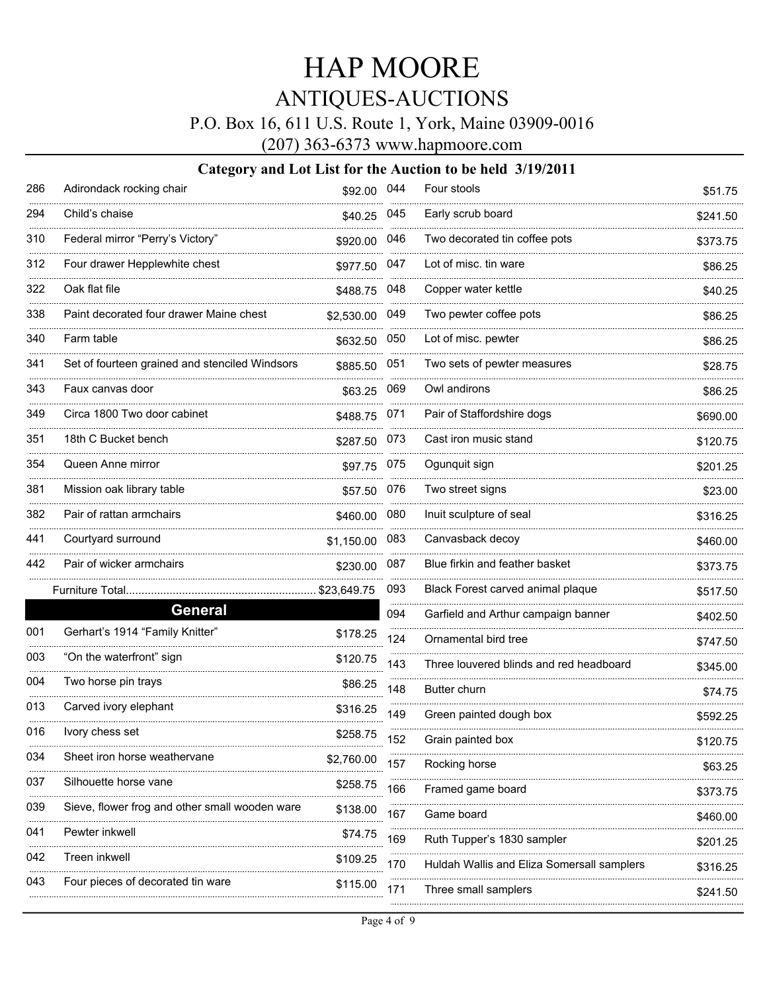### P.O. Box 16, 611 U.S. Route 1, York, Maine 03909-0016

(207) 363-6373 www.hapmoore.com

| 286 | Adirondack rocking chair                       | \$92.00 044  |     | Four stools                                | \$51.75  |
|-----|------------------------------------------------|--------------|-----|--------------------------------------------|----------|
| 294 | Child's chaise                                 | \$40.25 045  |     | Early scrub board                          | \$241.50 |
| 310 | Federal mirror "Perry's Victory"               | \$920.00     | 046 | Two decorated tin coffee pots              | \$373.75 |
| 312 | Four drawer Hepplewhite chest                  | \$977.50     | 047 | Lot of misc, tin ware                      | \$86.25  |
| 322 | Oak flat file                                  | \$488.75 048 |     | Copper water kettle                        | \$40.25  |
| 338 | Paint decorated four drawer Maine chest        | \$2,530.00   | 049 | Two pewter coffee pots                     | \$86.25  |
| 340 | Farm table                                     | \$632.50     | 050 | Lot of misc. pewter                        | \$86.25  |
| 341 | Set of fourteen grained and stenciled Windsors | \$885.50     | 051 | Two sets of pewter measures                | \$28.75  |
| 343 | Faux canvas door                               | \$63.25      | 069 | Owl andirons                               | \$86.25  |
| 349 | Circa 1800 Two door cabinet                    | \$488.75 071 |     | Pair of Staffordshire dogs                 | \$690.00 |
| 351 | 18th C Bucket bench                            | \$287.50 073 |     | Cast iron music stand                      | \$120.75 |
| 354 | Queen Anne mirror                              | \$97.75      | 075 | Ogunquit sign                              | \$201.25 |
| 381 | Mission oak library table                      | \$57.50      | 076 | Two street signs                           | \$23.00  |
| 382 | Pair of rattan armchairs                       | \$460.00     | 080 | Inuit sculpture of seal                    | \$316.25 |
| 441 | Courtyard surround                             | \$1,150.00   | 083 | Canvasback decoy                           | \$460.00 |
| 442 | Pair of wicker armchairs                       | \$230.00     | 087 | Blue firkin and feather basket             | \$373.75 |
|     | Furniture Total                                | \$23,649.75  | 093 | Black Forest carved animal plaque          | \$517.50 |
|     | <b>General</b>                                 |              | 094 | Garfield and Arthur campaign banner        | \$402.50 |
| 001 | Gerhart's 1914 "Family Knitter"                | \$178.25     | 124 | Ornamental bird tree                       | \$747.50 |
| 003 | "On the waterfront" sign                       | \$120.75     | 143 | Three louvered blinds and red headboard    | \$345.00 |
| 004 | Two horse pin trays                            | \$86.25      | 148 | <b>Butter churn</b>                        | \$74.75  |
| 013 | Carved ivory elephant                          | \$316.25     | 149 | Green painted dough box                    | \$592.25 |
| 016 | Ivory chess set                                | \$258.75     | 152 | Grain painted box                          | \$120.75 |
| 034 | Sheet iron horse weathervane                   | \$2,760.00   | 157 | Rocking horse                              | \$63.25  |
| 037 | Silhouette horse vane                          | \$258.75     | 166 | Framed game board                          | \$373.75 |
| 039 | Sieve, flower frog and other small wooden ware | \$138.00     | 167 | Game board                                 | \$460.00 |
| 041 | Pewter inkwell                                 | \$74.75      | 169 | Ruth Tupper's 1830 sampler                 | \$201.25 |
| 042 | Treen inkwell                                  | \$109.25     | 170 | Huldah Wallis and Eliza Somersall samplers | \$316.25 |
| 043 | Four pieces of decorated tin ware              | \$115.00     | 171 | Three small samplers                       | \$241.50 |
|     |                                                |              |     |                                            |          |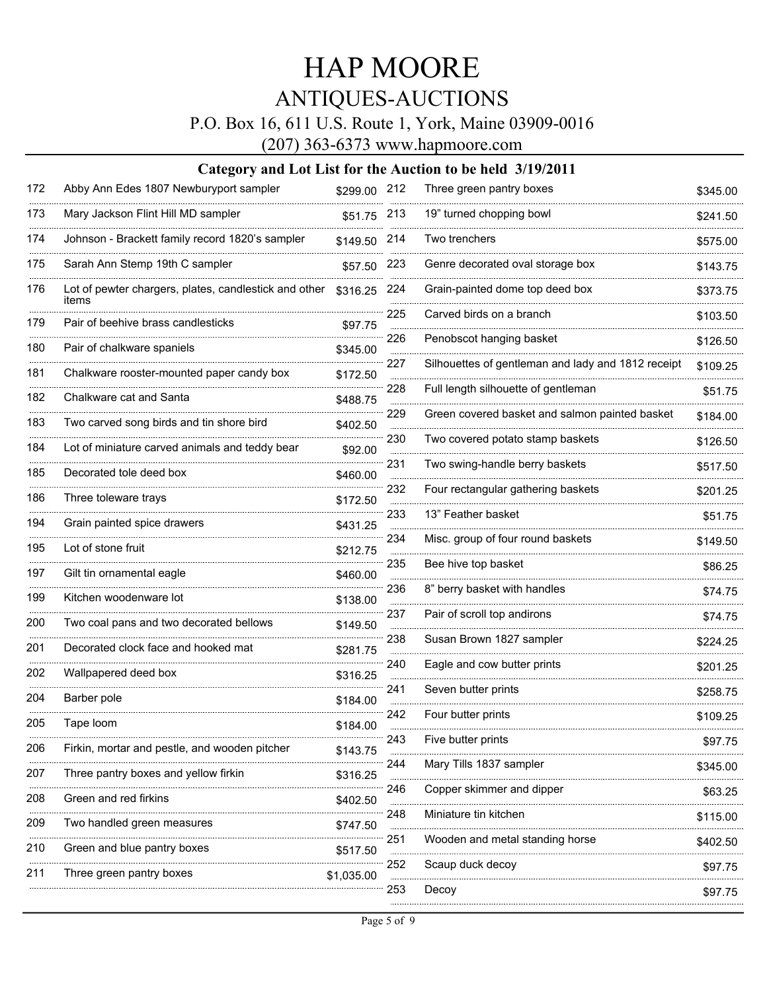### P.O. Box 16, 611 U.S. Route 1, York, Maine 03909-0016

(207) 363-6373 www.hapmoore.com

| 172             | Abby Ann Edes 1807 Newburyport sampler                         | \$299.00 212  |          | Three green pantry boxes                           | \$345.00 |
|-----------------|----------------------------------------------------------------|---------------|----------|----------------------------------------------------|----------|
| 173             | Mary Jackson Flint Hill MD sampler                             | \$51.75 213   |          | 19" turned chopping bowl                           | \$241.50 |
| 174             | Johnson - Brackett family record 1820's sampler                | \$149.50      | 214      | Two trenchers                                      | \$575.00 |
| 175             | Sarah Ann Stemp 19th C sampler                                 | \$57.50       | 223      | Genre decorated oval storage box                   | \$143.75 |
| 176             | Lot of pewter chargers, plates, candlestick and other<br>items | \$316.25      | 224      | Grain-painted dome top deed box                    | \$373.75 |
| 179             | Pair of beehive brass candlesticks                             | \$97.75       | 225      | Carved birds on a branch                           | \$103.50 |
| <u>.</u><br>180 | Pair of chalkware spaniels                                     | \$345.00      | 226      | Penobscot hanging basket                           | \$126.50 |
| 181             | Chalkware rooster-mounted paper candy box                      | \$172.50      | 227      | Silhouettes of gentleman and lady and 1812 receipt | \$109.25 |
| 182             | Chalkware cat and Santa                                        | .<br>\$488.75 | 228      | Full length silhouette of gentleman                | \$51.75  |
| 183             | Two carved song birds and tin shore bird                       | \$402.50      | 229      | Green covered basket and salmon painted basket     | \$184.00 |
| 184             | Lot of miniature carved animals and teddy bear                 | \$92.00       | 230      | Two covered potato stamp baskets                   | \$126.50 |
| 185             | Decorated tole deed box                                        | \$460.00      | 231      | Two swing-handle berry baskets                     | \$517.50 |
| .<br>186        | Three toleware trays                                           | \$172.50      | 232      | Four rectangular gathering baskets                 | \$201.25 |
| 194             | Grain painted spice drawers                                    | \$431.25      | 233      | 13" Feather basket                                 | \$51.75  |
| 195             | Lot of stone fruit                                             | \$212.75      | 234      | Misc. group of four round baskets                  | \$149.50 |
| 197             | Gilt tin ornamental eagle                                      | \$460.00      | 235      | Bee hive top basket                                | \$86.25  |
| 199             | Kitchen woodenware lot                                         | \$138.00      | 236      | 8" berry basket with handles                       | \$74.75  |
| 200             | Two coal pans and two decorated bellows                        | \$149.50      | 237      | Pair of scroll top andirons                        | \$74.75  |
| 201             | Decorated clock face and hooked mat                            | \$281.75      | 238      | Susan Brown 1827 sampler                           | \$224.25 |
| 202             | Wallpapered deed box                                           | \$316.25      | 240      | Eagle and cow butter prints                        | \$201.25 |
| 204             | Barber pole                                                    | \$184.00      | 241      | Seven butter prints                                | \$258.75 |
| 205             | Tape loom                                                      | \$184.00      | 242      | Four butter prints                                 | \$109.25 |
| 206             | Firkin, mortar and pestle, and wooden pitcher                  | \$143.75      | 243      | Five butter prints                                 | \$97.75  |
| 207             | Three pantry boxes and yellow firkin                           | \$316.25      | 244      | Mary Tills 1837 sampler                            | \$345.00 |
| 208             | Green and red firkins                                          | \$402.50      | 246      | Copper skimmer and dipper                          | \$63.25  |
| 209             | Two handled green measures                                     | \$747.50      | 248      | Miniature tin kitchen                              | \$115.00 |
| 210             | <br>Green and blue pantry boxes                                | \$517.50      | 251      | Wooden and metal standing horse                    | \$402.50 |
| 211             | Three green pantry boxes                                       | \$1,035.00    | .<br>252 | Scaup duck decoy                                   | \$97.75  |
|                 |                                                                |               | 253      | Decoy                                              | \$97.75  |
|                 |                                                                |               |          |                                                    |          |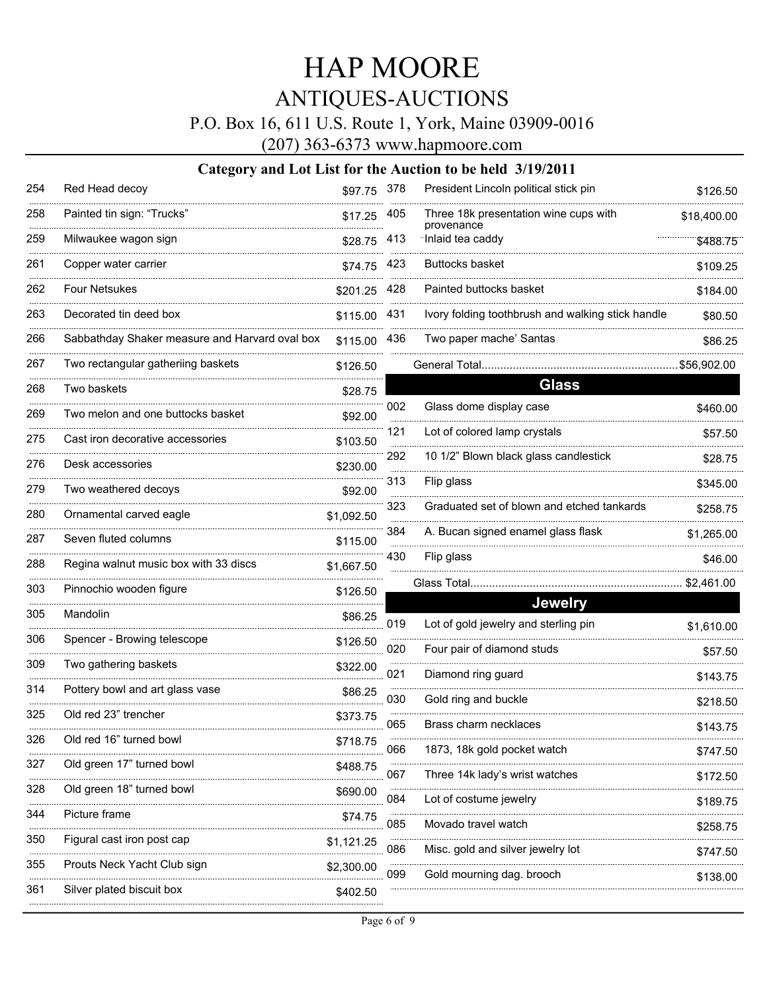### P.O. Box 16, 611 U.S. Route 1, York, Maine 03909-0016

(207) 363-6373 www.hapmoore.com

| 254 | Red Head decoy                                 | \$97.75 378  |     | President Lincoln political stick pin               | \$126.50    |
|-----|------------------------------------------------|--------------|-----|-----------------------------------------------------|-------------|
| 258 | Painted tin sign: "Trucks"                     | \$17.25      | 405 | Three 18k presentation wine cups with<br>provenance | \$18,400.00 |
| 259 | Milwaukee wagon sign                           | \$28.75      | 413 | Inlaid tea caddy                                    | \$488.75    |
| 261 | Copper water carrier                           | \$74.75      | 423 | <b>Buttocks basket</b>                              | \$109.25    |
| 262 | <b>Four Netsukes</b>                           | \$201.25     | 428 | Painted buttocks basket                             | \$184.00    |
| 263 | Decorated tin deed box                         | \$115.00     | 431 | Ivory folding toothbrush and walking stick handle   | \$80.50     |
| 266 | Sabbathday Shaker measure and Harvard oval box | \$115.00 436 |     | Two paper mache' Santas                             | \$86.25     |
| 267 | Two rectangular gatheriing baskets             | \$126.50     |     |                                                     |             |
| 268 | Two baskets                                    | \$28.75      |     | <b>Glass</b>                                        |             |
| 269 | Two melon and one buttocks basket              | \$92.00      | 002 | Glass dome display case                             | \$460.00    |
| 275 | Cast iron decorative accessories               | \$103.50     | 121 | Lot of colored lamp crystals                        | \$57.50     |
| 276 | Desk accessories                               | \$230.00     | 292 | 10 1/2" Blown black glass candlestick               | \$28.75     |
| 279 | Two weathered decoys                           | \$92.00      | 313 | Flip glass                                          | \$345.00    |
| 280 | Ornamental carved eagle                        | \$1,092.50   | 323 | Graduated set of blown and etched tankards          | \$258.75    |
| 287 | Seven fluted columns                           | \$115.00     | 384 | A. Bucan signed enamel glass flask                  | \$1,265.00  |
| 288 | Regina walnut music box with 33 discs          | \$1,667.50   | 430 | Flip glass                                          | \$46.00     |
| 303 | Pinnochio wooden figure                        | \$126.50     |     | Glass Total                                         | \$2,461.00  |
| 305 | Mandolin                                       | \$86.25      |     | <b>Jewelry</b>                                      |             |
| 306 | Spencer - Browing telescope                    | \$126.50     | 019 | Lot of gold jewelry and sterling pin                | \$1,610.00  |
| 309 | Two gathering baskets                          | \$322.00     | 020 | Four pair of diamond studs                          | \$57.50     |
| 314 | Pottery bowl and art glass vase                | \$86.25      | 021 | Diamond ring guard                                  | \$143.75    |
| 325 | Old red 23" trencher                           | \$373.75     | 030 | Gold ring and buckle                                | \$218.50    |
| 326 | Old red 16" turned bowl                        |              | 065 | Brass charm necklaces                               | \$143.75    |
|     |                                                | \$718.75     | 066 | 1873, 18k gold pocket watch                         | \$747.50    |
| 327 | Old green 17" turned bowl                      | \$488.75     | 067 | Three 14k lady's wrist watches                      | \$172.50    |
| 328 | Old green 18" turned bowl                      | \$690.00     | 084 | Lot of costume jewelry                              | \$189.75    |
| 344 | Picture frame                                  | \$74.75      | 085 | Movado travel watch                                 | \$258.75    |
| 350 | Figural cast iron post cap                     | \$1,121.25   | 086 | Misc. gold and silver jewelry lot                   | \$747.50    |
| 355 | Prouts Neck Yacht Club sign                    | \$2,300.00   | 099 | Gold mourning dag. brooch                           |             |
| 361 | Silver plated biscuit box                      | \$402.50     |     |                                                     | \$138.00    |
|     |                                                |              |     |                                                     |             |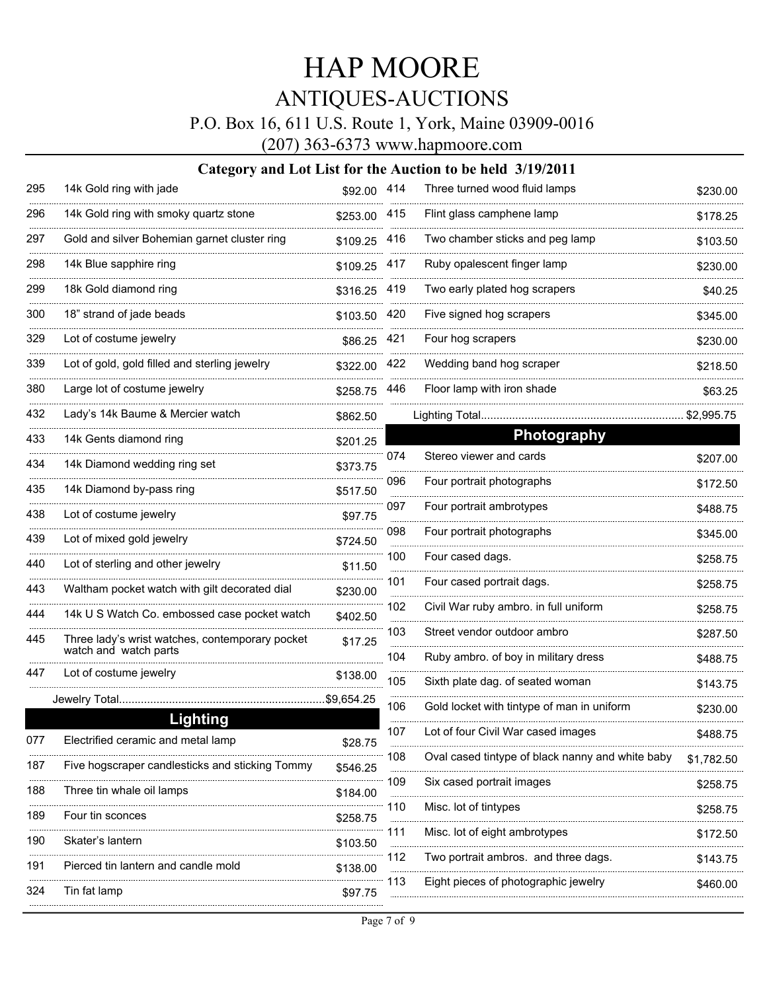### P.O. Box 16, 611 U.S. Route 1, York, Maine 03909-0016

(207) 363-6373 www.hapmoore.com

| 295             | 14k Gold ring with jade                               | \$92.00 414   |     | Three turned wood fluid lamps                    | \$230.00   |
|-----------------|-------------------------------------------------------|---------------|-----|--------------------------------------------------|------------|
| 296             | 14k Gold ring with smoky quartz stone                 | \$253.00 415  |     | Flint glass camphene lamp                        | \$178.25   |
| 297             | Gold and silver Bohemian garnet cluster ring          | \$109.25      | 416 | Two chamber sticks and peg lamp                  | \$103.50   |
| 298             | 14k Blue sapphire ring                                | \$109.25 417  |     | Ruby opalescent finger lamp                      | \$230.00   |
| 299             | 18k Gold diamond ring                                 | \$316.25 419  |     | Two early plated hog scrapers                    | \$40.25    |
| 300             | 18" strand of jade beads                              | \$103.50      | 420 | Five signed hog scrapers                         | \$345.00   |
| 329             | Lot of costume jewelry                                | \$86.25       | 421 | Four hog scrapers                                | \$230.00   |
| <br>339         | Lot of gold, gold filled and sterling jewelry         | \$322.00      | 422 | Wedding band hog scraper                         | \$218.50   |
| 380             | Large lot of costume jewelry                          | \$258.75      | 446 | Floor lamp with iron shade                       | \$63.25    |
| 432             | Lady's 14k Baume & Mercier watch                      | \$862.50      |     | Lighting Total                                   | \$2,995.75 |
| 433             | 14k Gents diamond ring                                | \$201.25      |     | <b>Photography</b>                               |            |
| 434             | 14k Diamond wedding ring set                          | \$373.75      | 074 | Stereo viewer and cards                          | \$207.00   |
| 435             | 14k Diamond by-pass ring                              | \$517.50      | 096 | Four portrait photographs                        | \$172.50   |
| --------<br>438 | Lot of costume jewelry                                | \$97.75       | 097 | Four portrait ambrotypes                         | \$488.75   |
| 439             | Lot of mixed gold jewelry                             | \$724.50      | 098 | Four portrait photographs                        | \$345.00   |
| 440             | Lot of sterling and other jewelry                     | \$11.50       | 100 | Four cased dags.                                 | \$258.75   |
| 443             | Waltham pocket watch with gilt decorated dial         | \$230.00      | 101 | Four cased portrait dags.                        | \$258.75   |
| 444             | 14k U S Watch Co. embossed case pocket watch          | \$402.50      | 102 | Civil War ruby ambro. in full uniform            | \$258.75   |
| 445             | Three lady's wrist watches, contemporary pocket       | \$17.25       | 103 | Street vendor outdoor ambro                      | \$287.50   |
|                 | watch and watch parts                                 |               | 104 | Ruby ambro. of boy in military dress             | \$488.75   |
| 447             | Lot of costume jewelry                                | \$138.00      | 105 | Sixth plate dag. of seated woman                 | \$143.75   |
|                 | Jewelry Total                                         | .\$9,654.25   | 106 | Gold locket with tintype of man in uniform       | \$230.00   |
|                 | <b>Lighting</b><br>Electrified ceramic and metal lamp |               | 107 | Lot of four Civil War cased images               | \$488.75   |
|                 |                                                       | \$28.75       | 108 | Oval cased tintype of black nanny and white baby | \$1,782.50 |
| 187             | Five hogscraper candlesticks and sticking Tommy       | \$546.25<br>. | 109 | Six cased portrait images                        | \$258.75   |
| 188             | Three tin whale oil lamps                             | \$184.00      | 110 | Misc. lot of tintypes                            |            |
| 189             | Four tin sconces                                      | \$258.75      |     |                                                  | \$258.75   |
| 190             | Skater's lantern                                      | \$103.50      | 111 | Misc. lot of eight ambrotypes                    | \$172.50   |
| 191             | Pierced tin lantern and candle mold                   | \$138.00      | 112 | Two portrait ambros. and three dags.             | \$143.75   |
| 324             | Tin fat lamp                                          | \$97.75       | 113 | Eight pieces of photographic jewelry             | \$460.00   |
|                 |                                                       |               |     |                                                  |            |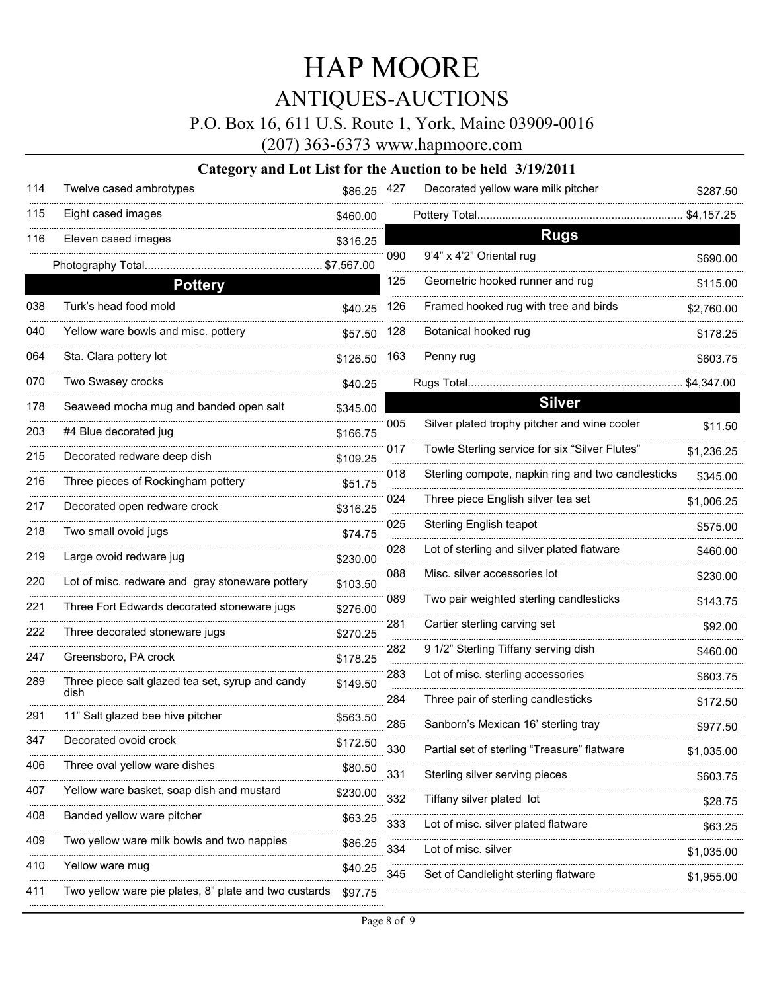P.O. Box 16, 611 U.S. Route 1, York, Maine 03909-0016

(207) 363-6373 www.hapmoore.com

| 114 | Twelve cased ambrotypes                                  | \$86.25 427 |     | Decorated yellow ware milk pitcher                 | \$287.50   |
|-----|----------------------------------------------------------|-------------|-----|----------------------------------------------------|------------|
| 115 | Eight cased images                                       | \$460.00    |     | Pottery Total                                      | \$4,157.25 |
| 116 | Eleven cased images                                      | \$316.25    |     | <b>Rugs</b>                                        |            |
|     | Photography Total                                        | \$7,567.00  | 090 | 9'4" x 4'2" Oriental rug                           | \$690.00   |
|     | <b>Pottery</b>                                           |             | 125 | Geometric hooked runner and rug                    | \$115.00   |
| 038 | Turk's head food mold                                    | \$40.25     | 126 | Framed hooked rug with tree and birds              | \$2,760.00 |
| 040 | Yellow ware bowls and misc. pottery                      | \$57.50     | 128 | Botanical hooked rug                               | \$178.25   |
| 064 | Sta. Clara pottery lot                                   | \$126.50    | 163 | Penny rug                                          | \$603.75   |
| 070 | Two Swasey crocks                                        | \$40.25     |     | Rugs Total                                         | \$4,347.00 |
| 178 | Seaweed mocha mug and banded open salt                   | \$345.00    |     | <b>Silver</b>                                      |            |
| 203 | #4 Blue decorated jug                                    | \$166.75    | 005 | Silver plated trophy pitcher and wine cooler       | \$11.50    |
| 215 | Decorated redware deep dish                              | \$109.25    | 017 | Towle Sterling service for six "Silver Flutes"     | \$1,236.25 |
| 216 | Three pieces of Rockingham pottery                       | \$51.75     | 018 | Sterling compote, napkin ring and two candlesticks | \$345.00   |
| 217 | Decorated open redware crock                             | \$316.25    | 024 | Three piece English silver tea set                 | \$1,006.25 |
| 218 | Two small ovoid jugs                                     | \$74.75     | 025 | Sterling English teapot                            | \$575.00   |
| 219 | Large ovoid redware jug                                  | \$230.00    | 028 | Lot of sterling and silver plated flatware         | \$460.00   |
| 220 | Lot of misc. redware and gray stoneware pottery          | \$103.50    | 088 | Misc. silver accessories lot                       | \$230.00   |
| 221 | Three Fort Edwards decorated stoneware jugs              | \$276.00    | 089 | Two pair weighted sterling candlesticks            | \$143.75   |
| 222 | Three decorated stoneware jugs                           |             | 281 | Cartier sterling carving set                       | \$92.00    |
| 247 | Greensboro, PA crock                                     | \$270.25    | 282 | 9 1/2" Sterling Tiffany serving dish               | \$460.00   |
|     |                                                          | \$178.25    | 283 | Lot of misc. sterling accessories                  | \$603.75   |
| 289 | Three piece salt glazed tea set, syrup and candy<br>dish | \$149.50    | 284 | Three pair of sterling candlesticks                | \$172.50   |
| 291 | 11" Salt glazed bee hive pitcher                         | \$563.50    | 285 | Sanborn's Mexican 16' sterling tray                | \$977.50   |
| 347 | Decorated ovoid crock                                    | \$172.50    | 330 | Partial set of sterling "Treasure" flatware        | \$1,035.00 |
| 406 | Three oval yellow ware dishes                            | \$80.50     | 331 | Sterling silver serving pieces                     |            |
| 407 | Yellow ware basket, soap dish and mustard                | \$230.00    |     |                                                    | \$603.75   |
| 408 | Banded yellow ware pitcher                               | \$63.25     | 332 | Tiffany silver plated lot                          | \$28.75    |
| 409 | Two yellow ware milk bowls and two nappies               | \$86.25     | 333 | ot of misc. silver plated flatware                 | \$63.25    |
| 410 | Yellow ware mug                                          | \$40.25     | 334 | Lot of misc. silver                                | \$1,035.00 |
| 411 | Two yellow ware pie plates, 8" plate and two custards    | \$97.75     | 345 | Set of Candlelight sterling flatware               | \$1,955.00 |
|     |                                                          |             |     |                                                    |            |